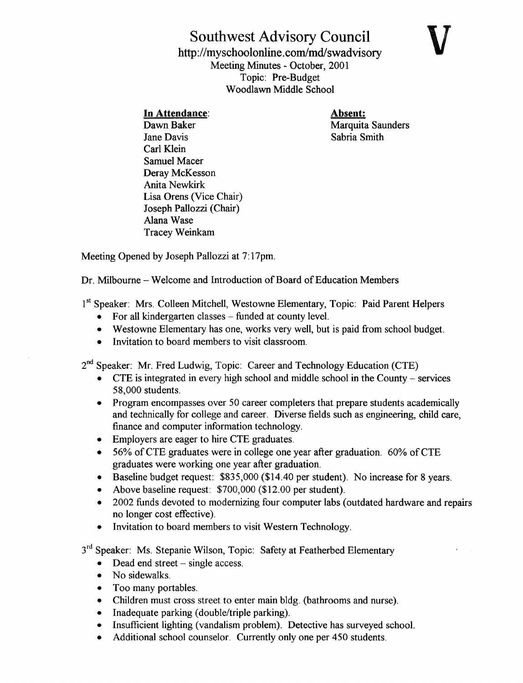## Southwest Advisory Council

http ://myschoolonline .com/md/swadvisory Meeting Minutes - October, 2001 Topic: Pre-Budget Woodlawn Middle School http://myschoolonline.com/md/swadvise<br>
Meeting Minutes - October, 2001<br>
Topic: Pre-Budget<br>
Woodlawn Middle School<br>
In Attendance:<br>
Dawn Baker<br>
Jane Davis<br>
Carl Klein

Sabria Smith

Dawn Baker Marquita Saunders<br>
Jane Davis Sabria Smith Carl Klein Samuel Macer Deray McKesson Anita Newkirk Lisa Orens (Vice Chair) Joseph Pallozzi (Chair) Alana Wase Tracey Weinkam

Meeting Opened by Joseph Pallozzi at 7:17pm.

Dr. Milbourne - Welcome and Introduction of Board of Education Members

1st Speaker: Mrs. Colleen Mitchell, Westowne Elementary, Topic: Paid Parent Helpers

- For all kindergarten classes funded at county level.
- Westowne Elementary has one, works very well, but is paid from school budget.
- Invitation to board members to visit classroom.

 $2<sup>nd</sup> Speaker: Mr. Fred Ludwig, Topic: Career and Technology Education (CTE)$ 

- $\bullet$  CTE is integrated in every high school and middle school in the County services 58,000 students.
- Program encompasses over 50 career completers that prepare students academically and technically for college and career. Diverse fields such as engineering, child care, finance and computer information technology.
- Employers are eager to hire CTE graduates.
- 56% of CTE graduates were in college one year after graduation. 60% of CTE graduates were working one year after graduation.
- Baseline budget request:  $$835,000$  (\$14.40 per student). No increase for 8 years.
- $\bullet$  Above baseline request: \$700,000 (\$12.00 per student).
- " 2002 funds devoted to modernizing four computer labs (outdated hardware and repairs no longer cost effective) .
- Invitation to board members to visit Western Technology.

 $3<sup>rd</sup>$  Speaker: Ms. Stepanie Wilson, Topic: Safety at Featherbed Elementary<br>
• Dead end street – single access.

- Dead end street single access.
- No sidewalks.
- Too many portables.
- Children must cross street to enter main bldg. (bathrooms and nurse).
- Inadequate parking (double/triple parking).
- Insufficient lighting (vandalism problem). Detective has surveyed school.
- Additional school counselor. Currently only one per 450 students.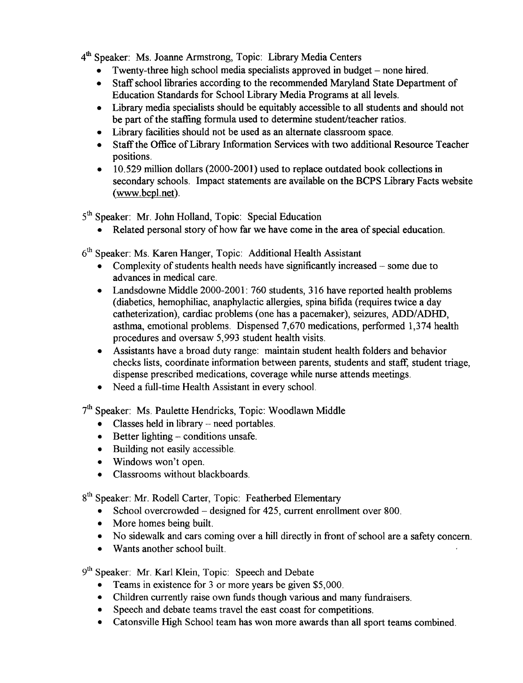4<sup>th</sup> Speaker: Ms. Joanne Armstrong, Topic: Library Media Centers<br>• Twenty-three high school media specialists approved in budg

- Twenty-three high school media specialists approved in budget none hired.
- Staff school libraries according to the recommended Maryland State Department of Education Standards for School Library Media Programs at all levels.
- Library media specialists should be equitably accessible to all students and should not be part of the staffing formula used to determine student/teacher ratios.
- Library facilities should not be used as an alternate classroom space.
- Staff the Office of Library Information Services with two additional Resource Teacher positions.
- 10.529 million dollars (2000-2001) used to replace outdated book collections in secondary schools. Impact statements are available on the BCPS Library Facts website (www.bcpl.net).

5<sup>th</sup> Speaker: Mr. John Holland, Topic: Special Education

Related personal story of how far we have come in the area of special education.

 $6<sup>th</sup> Speaker: Ms. Karen Hanger, Topic: Additional Health Assistant$ 

- Complexity of students health needs have significantly increased some due to advances in medical care.
- Landsdowne Middle 2000-2001: 760 students, 316 have reported health problems (diabetics, hemophiliac, anaphylactic allergies, spina bifida (requires twice a day catheterization), cardiac problems (one has <sup>a</sup> pacemaker), seizures, ADD/ADHD, asthma, emotional problems. Dispensed 7,670 medications, performed 1,374 health procedures and oversaw 5,993 student health visits.
- Assistants have a broad duty range: maintain student health folders and behavior checks lists, coordinate information between parents, students and staff, student triage, dispense prescribed medications, coverage while nurse attends meetings.
- Need a full-time Health Assistant in every school.

7<sup>th</sup> Speaker: Ms. Paulette Hendricks, Topic: Woodlawn Middle

- $\bullet$  Classes held in library need portables.
- Better lighting conditions unsafe.
- Building not easily accessible.
- Windows won't open.
- Classrooms without blackboards.

8<sup>th</sup> Speaker: Mr. Rodell Carter, Topic: Featherbed Elementary

- School overcrowded designed for 425, current enrollment over 800.
- More homes being built.
- No sidewalk and cars coming over a hill directly in front of school are a safety concern.
- Wants another school built.

9<sup>th</sup> Speaker: Mr. Karl Klein, Topic: Speech and Debate

- Teams in existence for 3 or more years be given \$5,000.
- Children currently raise own funds though various and many fundraisers.
- Speech and debate teams travel the east coast for competitions.
- Catonsville High School team has won more awards than all sport teams combined.